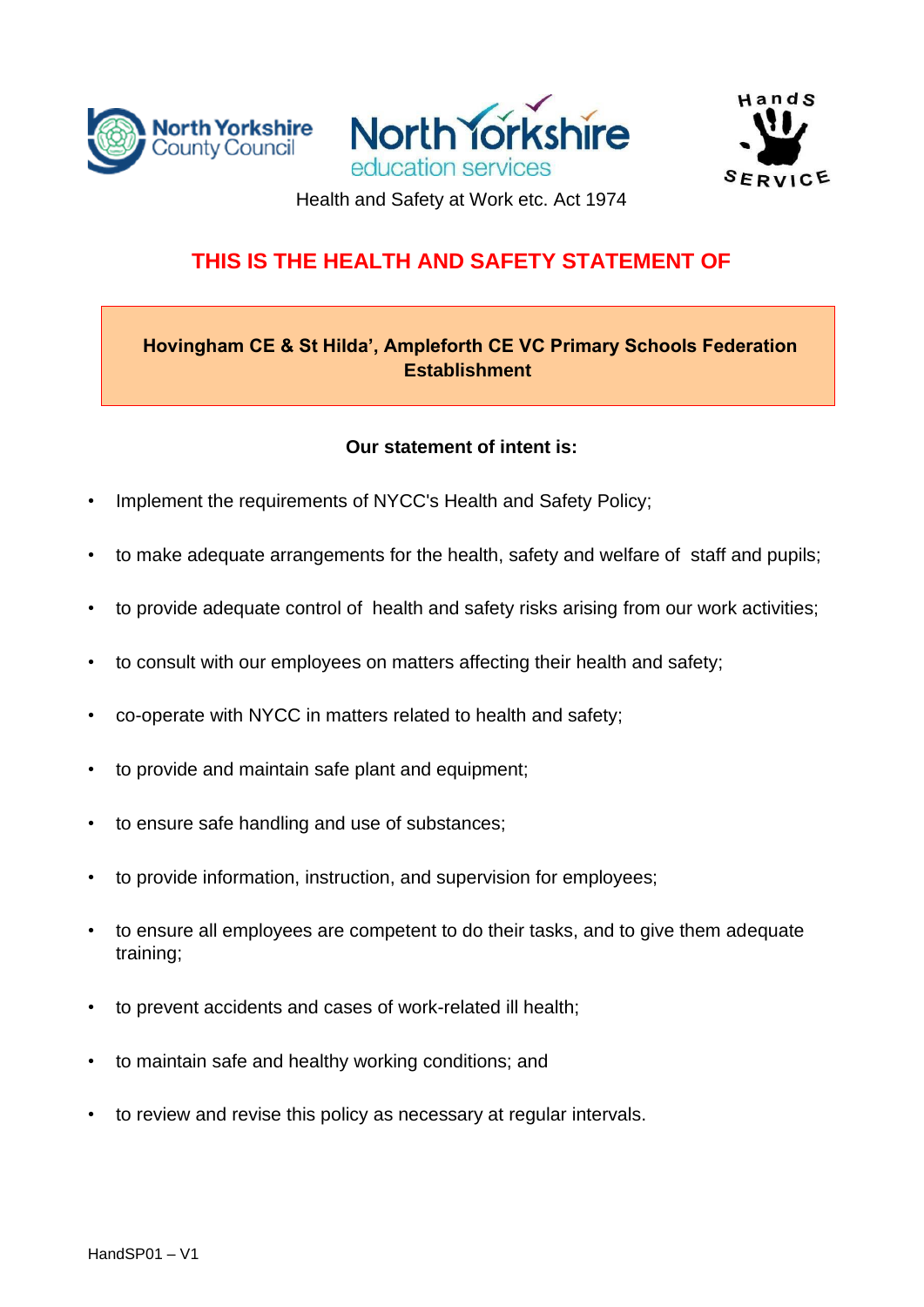





Health and Safety at Work etc. Act 1974

### **THIS IS THE HEALTH AND SAFETY STATEMENT OF**

#### **Hovingham CE & St Hilda', Ampleforth CE VC Primary Schools Federation Establishment**

#### **Our statement of intent is:**

- Implement the requirements of NYCC's Health and Safety Policy;
- to make adequate arrangements for the health, safety and welfare of staff and pupils;
- to provide adequate control of health and safety risks arising from our work activities;
- to consult with our employees on matters affecting their health and safety;
- co-operate with NYCC in matters related to health and safety;
- to provide and maintain safe plant and equipment;
- to ensure safe handling and use of substances;
- to provide information, instruction, and supervision for employees;
- to ensure all employees are competent to do their tasks, and to give them adequate training;
- to prevent accidents and cases of work-related ill health;
- to maintain safe and healthy working conditions; and
- to review and revise this policy as necessary at regular intervals.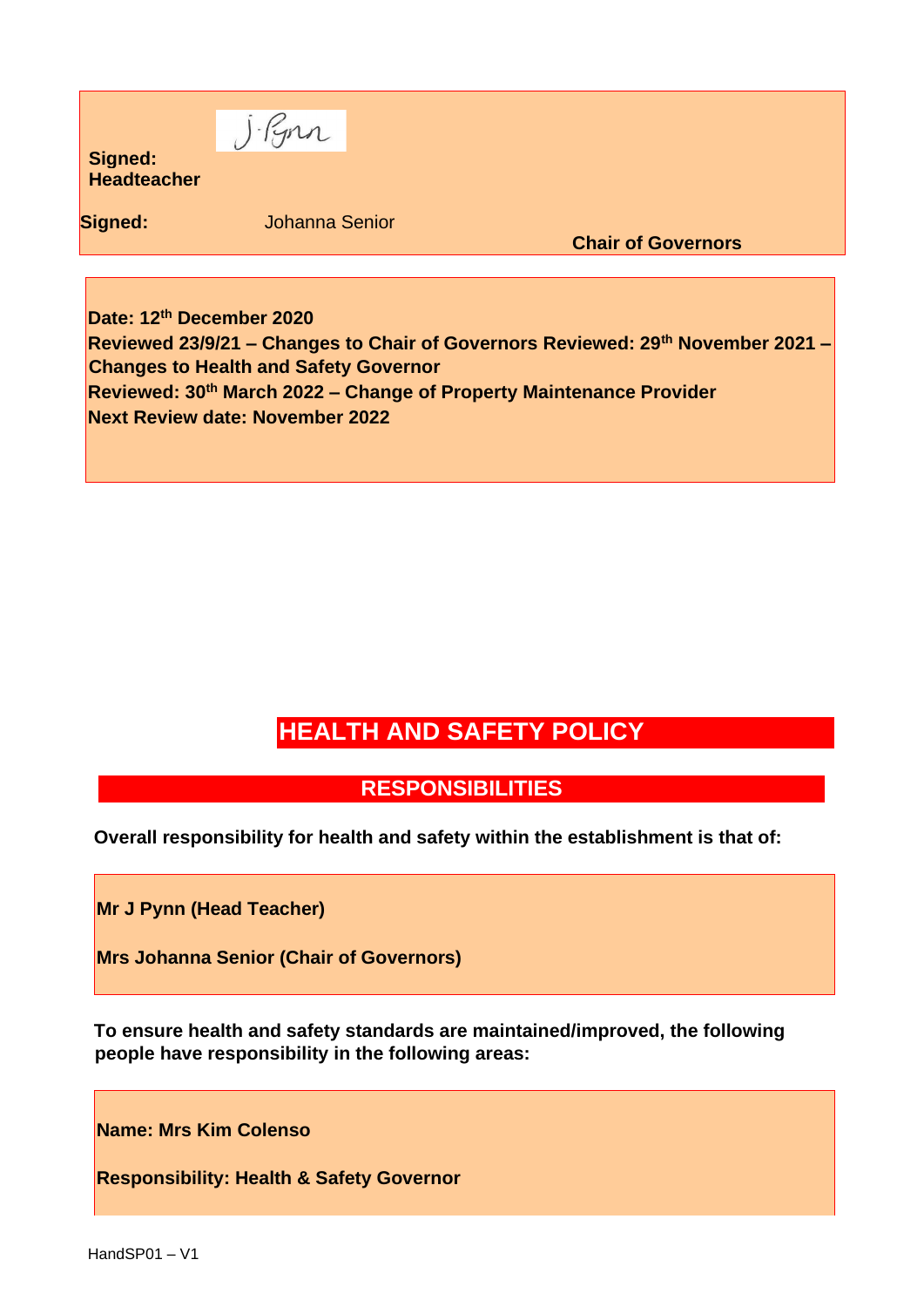| Signed:<br>Headteacher | J. Pynn               |                           |  |
|------------------------|-----------------------|---------------------------|--|
| Signed:                | <b>Johanna Senior</b> | <b>Chair of Governors</b> |  |
|                        |                       |                           |  |

**Date: 12th December 2020 Reviewed 23/9/21 – Changes to Chair of Governors Reviewed: 29th November 2021 – Changes to Health and Safety Governor Reviewed: 30th March 2022 – Change of Property Maintenance Provider Next Review date: November 2022** 

# **HEALTH AND SAFETY POLICY**

### **RESPONSIBILITIES**

**Overall responsibility for health and safety within the establishment is that of:** 

**Mr J Pynn (Head Teacher)** 

**Mrs Johanna Senior (Chair of Governors)** 

**To ensure health and safety standards are maintained/improved, the following people have responsibility in the following areas:** 

**Name: Mrs Kim Colenso**

**Responsibility: Health & Safety Governor**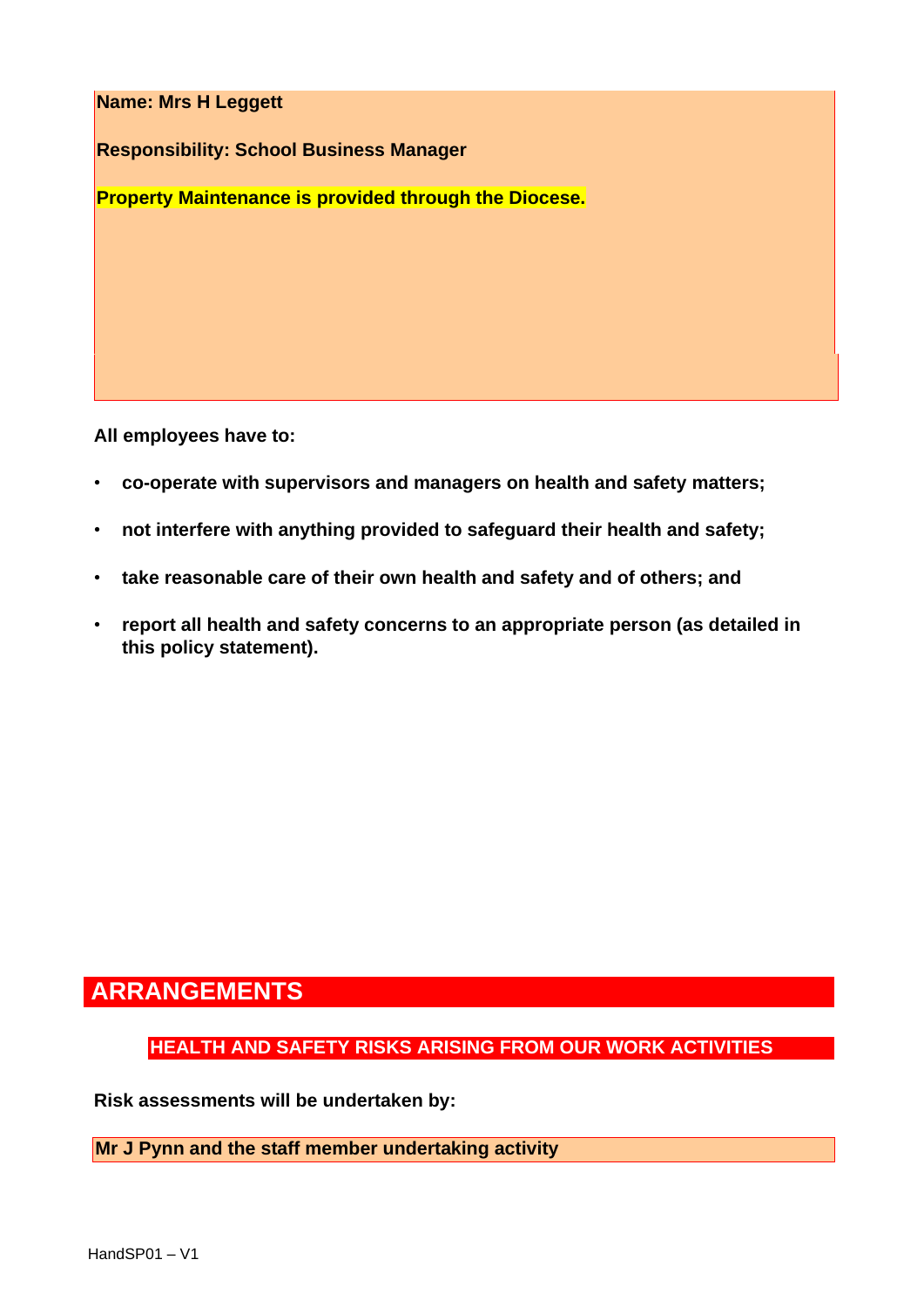**Name: Mrs H Leggett** 

**Responsibility: School Business Manager** 

**Property Maintenance is provided through the Diocese.**

**All employees have to:** 

- **co-operate with supervisors and managers on health and safety matters;**
- **not interfere with anything provided to safeguard their health and safety;**
- **take reasonable care of their own health and safety and of others; and**
- **report all health and safety concerns to an appropriate person (as detailed in this policy statement).**

### **ARRANGEMENTS**

**HEALTH AND SAFETY RISKS ARISING FROM OUR WORK ACTIVITIES** 

**Risk assessments will be undertaken by:** 

**Mr J Pynn and the staff member undertaking activity**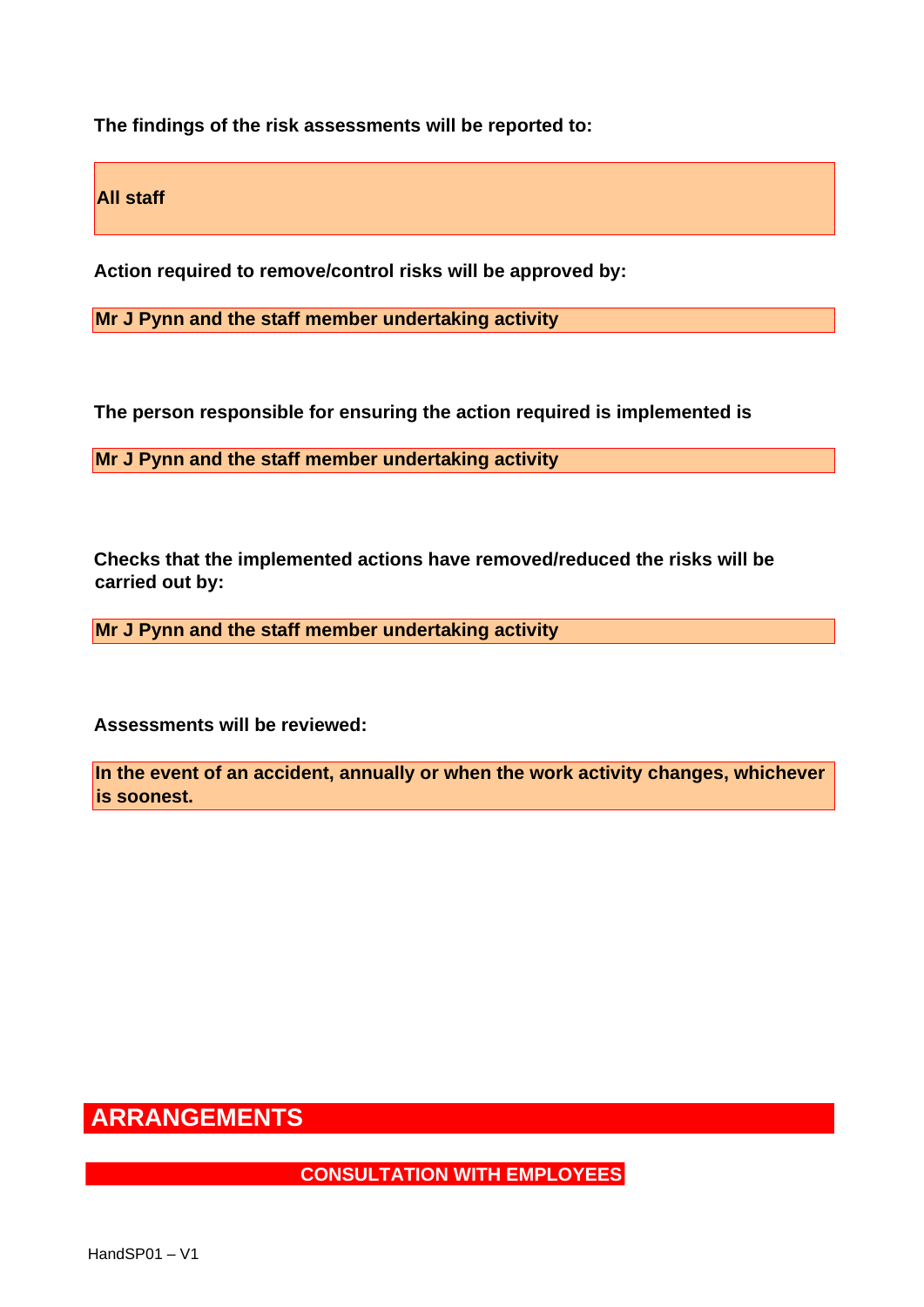**The findings of the risk assessments will be reported to:** 

**All staff** 

**Action required to remove/control risks will be approved by:** 

**Mr J Pynn and the staff member undertaking activity** 

**The person responsible for ensuring the action required is implemented is** 

**Mr J Pynn and the staff member undertaking activity** 

**Checks that the implemented actions have removed/reduced the risks will be carried out by:** 

**Mr J Pynn and the staff member undertaking activity** 

**Assessments will be reviewed:** 

**In the event of an accident, annually or when the work activity changes, whichever is soonest.** 

# **ARRANGEMENTS**

**CONSULTATION WITH EMPLOYEES**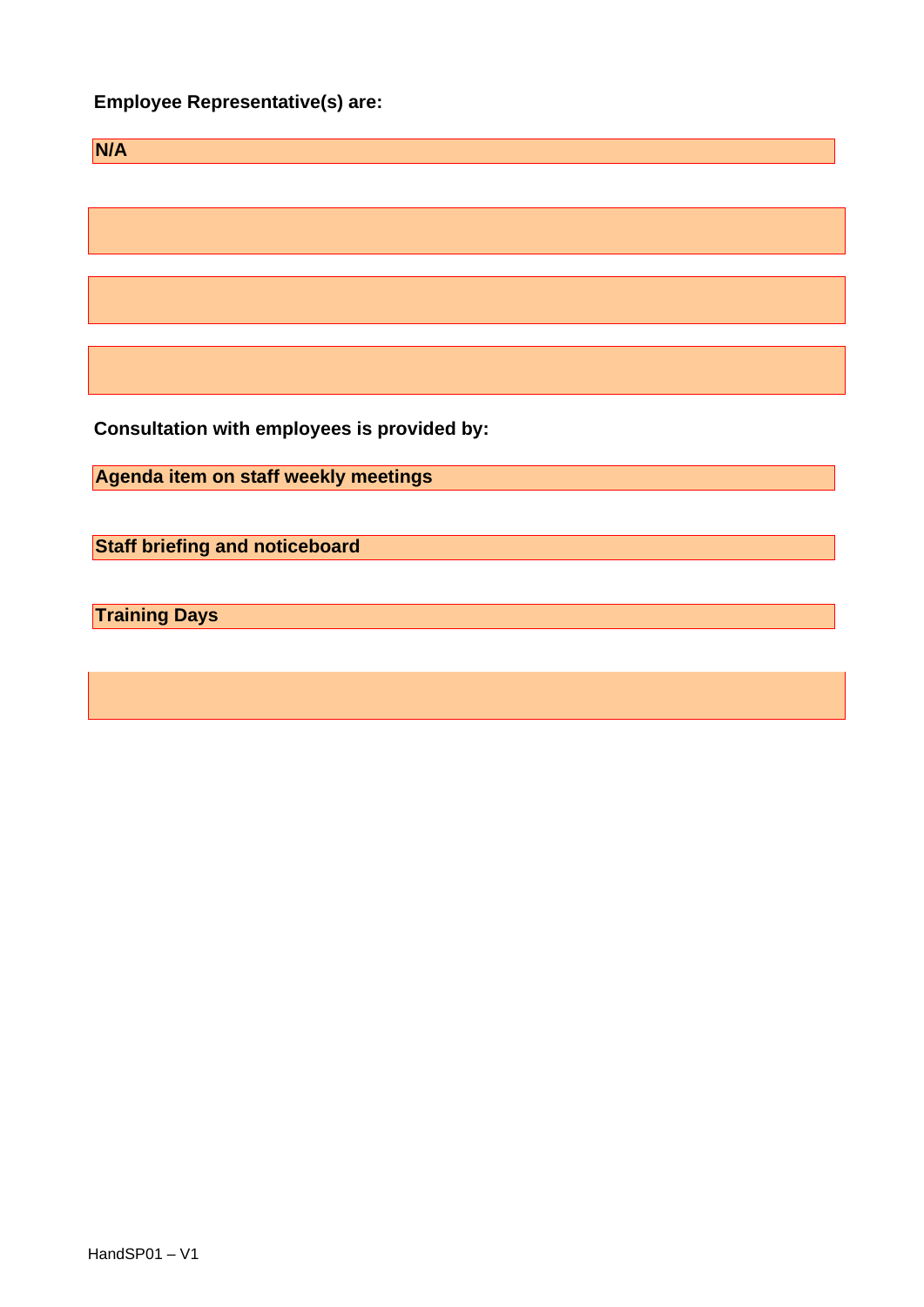#### **Employee Representative(s) are:**

| <b>N/A</b> |  |  |  |
|------------|--|--|--|
|            |  |  |  |
|            |  |  |  |
|            |  |  |  |
|            |  |  |  |
|            |  |  |  |
|            |  |  |  |
|            |  |  |  |

**Consultation with employees is provided by:** 

**Agenda item on staff weekly meetings** 

**Staff briefing and noticeboard** 

**Training Days**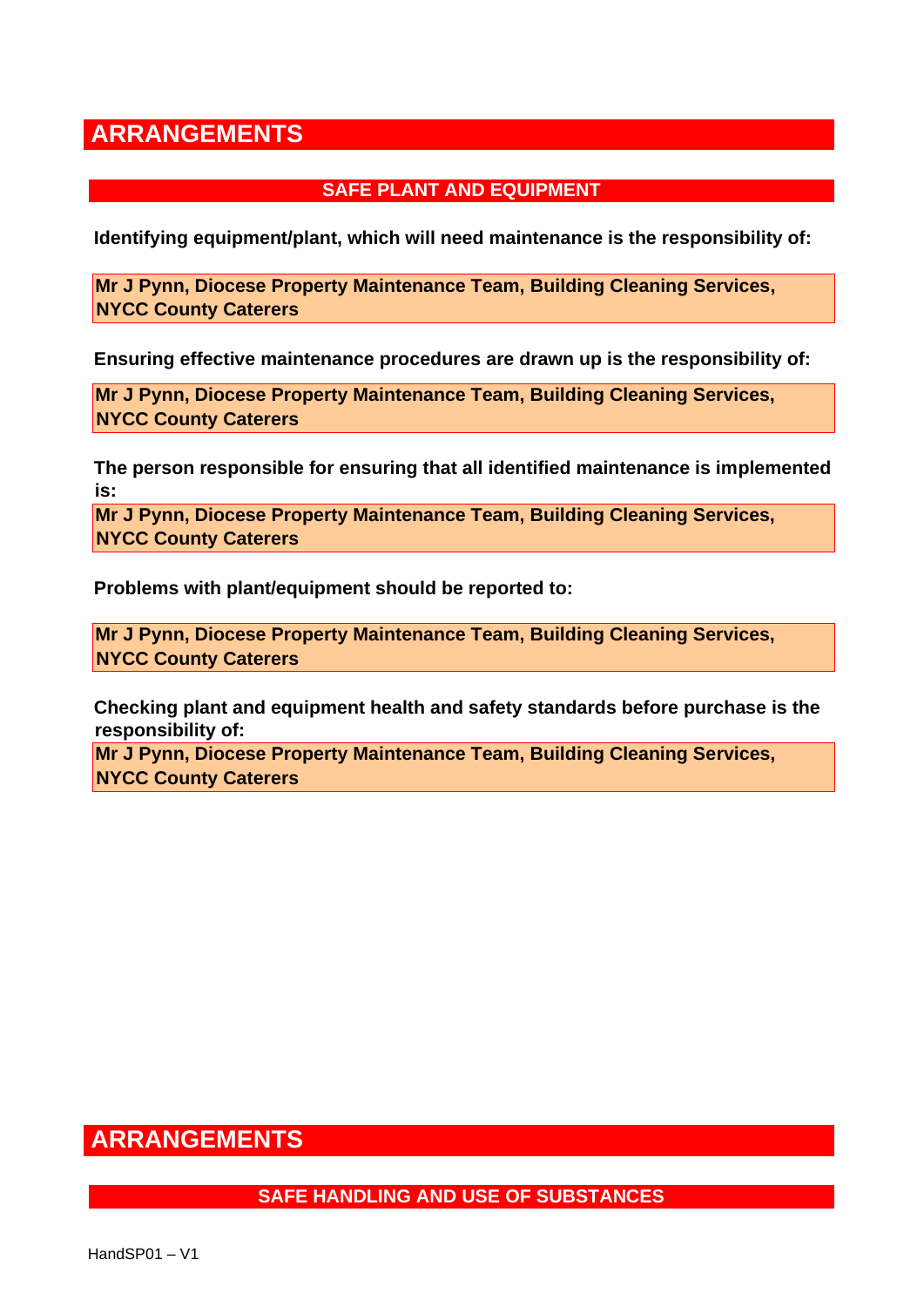#### **SAFE PLANT AND EQUIPMENT**

**Identifying equipment/plant, which will need maintenance is the responsibility of:** 

**Mr J Pynn, Diocese Property Maintenance Team, Building Cleaning Services, NYCC County Caterers** 

**Ensuring effective maintenance procedures are drawn up is the responsibility of:** 

**Mr J Pynn, Diocese Property Maintenance Team, Building Cleaning Services, NYCC County Caterers** 

**The person responsible for ensuring that all identified maintenance is implemented is:** 

**Mr J Pynn, Diocese Property Maintenance Team, Building Cleaning Services, NYCC County Caterers** 

**Problems with plant/equipment should be reported to:** 

**Mr J Pynn, Diocese Property Maintenance Team, Building Cleaning Services, NYCC County Caterers** 

**Checking plant and equipment health and safety standards before purchase is the responsibility of:** 

**Mr J Pynn, Diocese Property Maintenance Team, Building Cleaning Services, NYCC County Caterers** 

### **ARRANGEMENTS**

#### **SAFE HANDLING AND USE OF SUBSTANCES**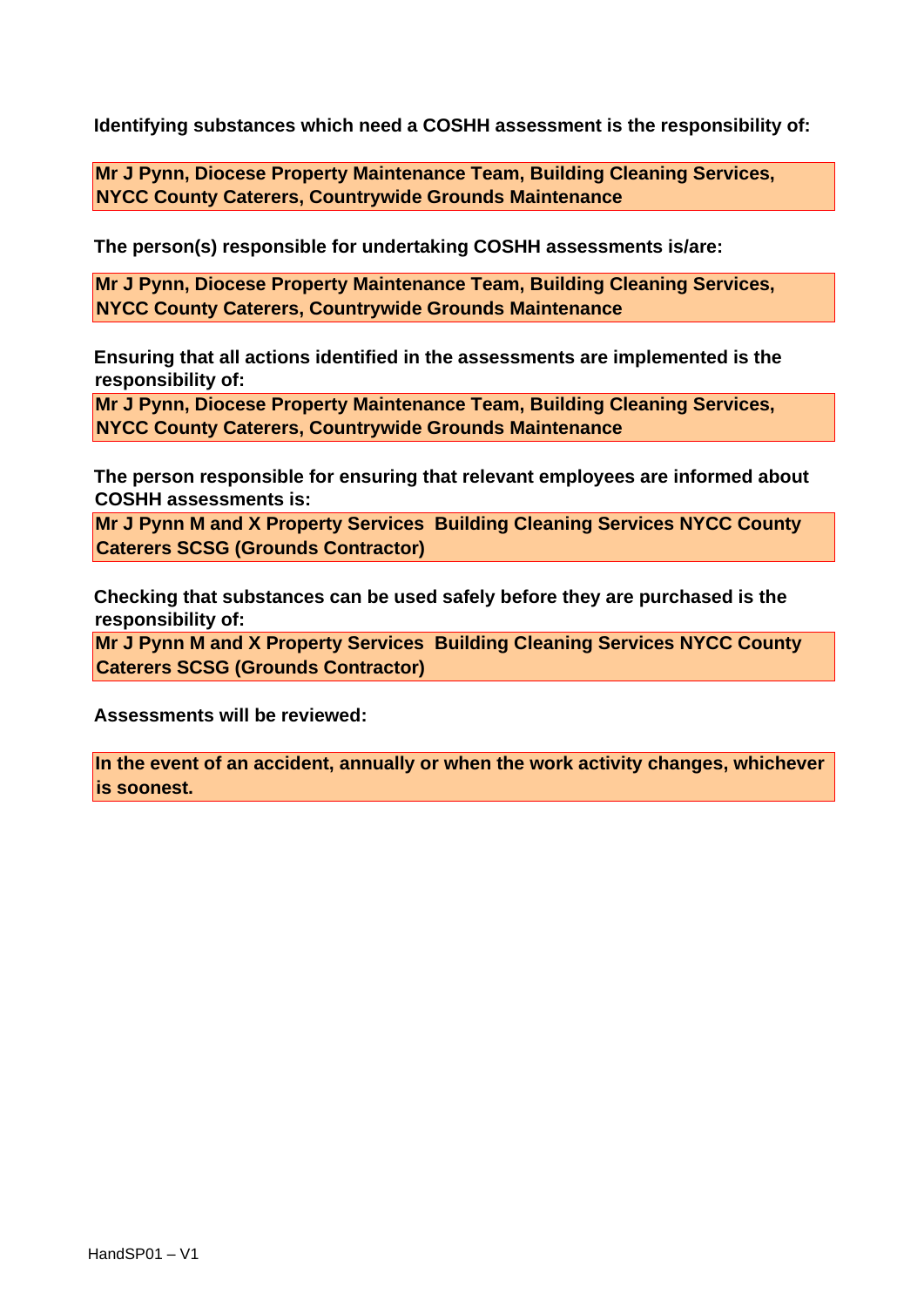**Identifying substances which need a COSHH assessment is the responsibility of:** 

**Mr J Pynn, Diocese Property Maintenance Team, Building Cleaning Services, NYCC County Caterers, Countrywide Grounds Maintenance** 

**The person(s) responsible for undertaking COSHH assessments is/are:** 

**Mr J Pynn, Diocese Property Maintenance Team, Building Cleaning Services, NYCC County Caterers, Countrywide Grounds Maintenance** 

**Ensuring that all actions identified in the assessments are implemented is the responsibility of:** 

**Mr J Pynn, Diocese Property Maintenance Team, Building Cleaning Services, NYCC County Caterers, Countrywide Grounds Maintenance** 

**The person responsible for ensuring that relevant employees are informed about COSHH assessments is:** 

**Mr J Pynn M and X Property Services Building Cleaning Services NYCC County Caterers SCSG (Grounds Contractor)** 

**Checking that substances can be used safely before they are purchased is the responsibility of:** 

**Mr J Pynn M and X Property Services Building Cleaning Services NYCC County Caterers SCSG (Grounds Contractor)** 

**Assessments will be reviewed:** 

**In the event of an accident, annually or when the work activity changes, whichever is soonest.**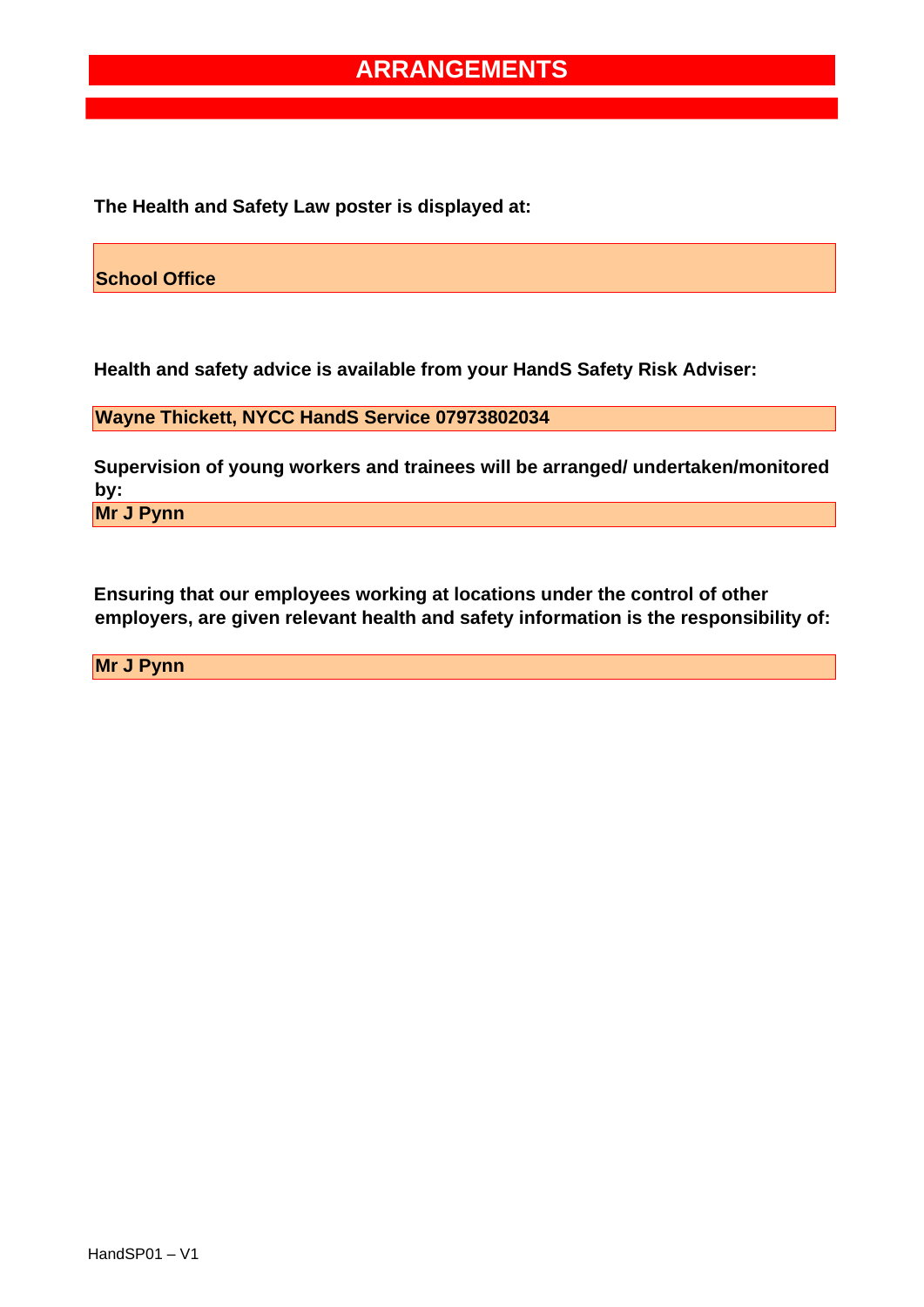**The Health and Safety Law poster is displayed at:** 

**School Office** 

**Health and safety advice is available from your HandS Safety Risk Adviser:** 

**Wayne Thickett, NYCC HandS Service 07973802034** 

**Supervision of young workers and trainees will be arranged/ undertaken/monitored by:** 

**Mr J Pynn** 

**Ensuring that our employees working at locations under the control of other employers, are given relevant health and safety information is the responsibility of:** 

**Mr J Pynn**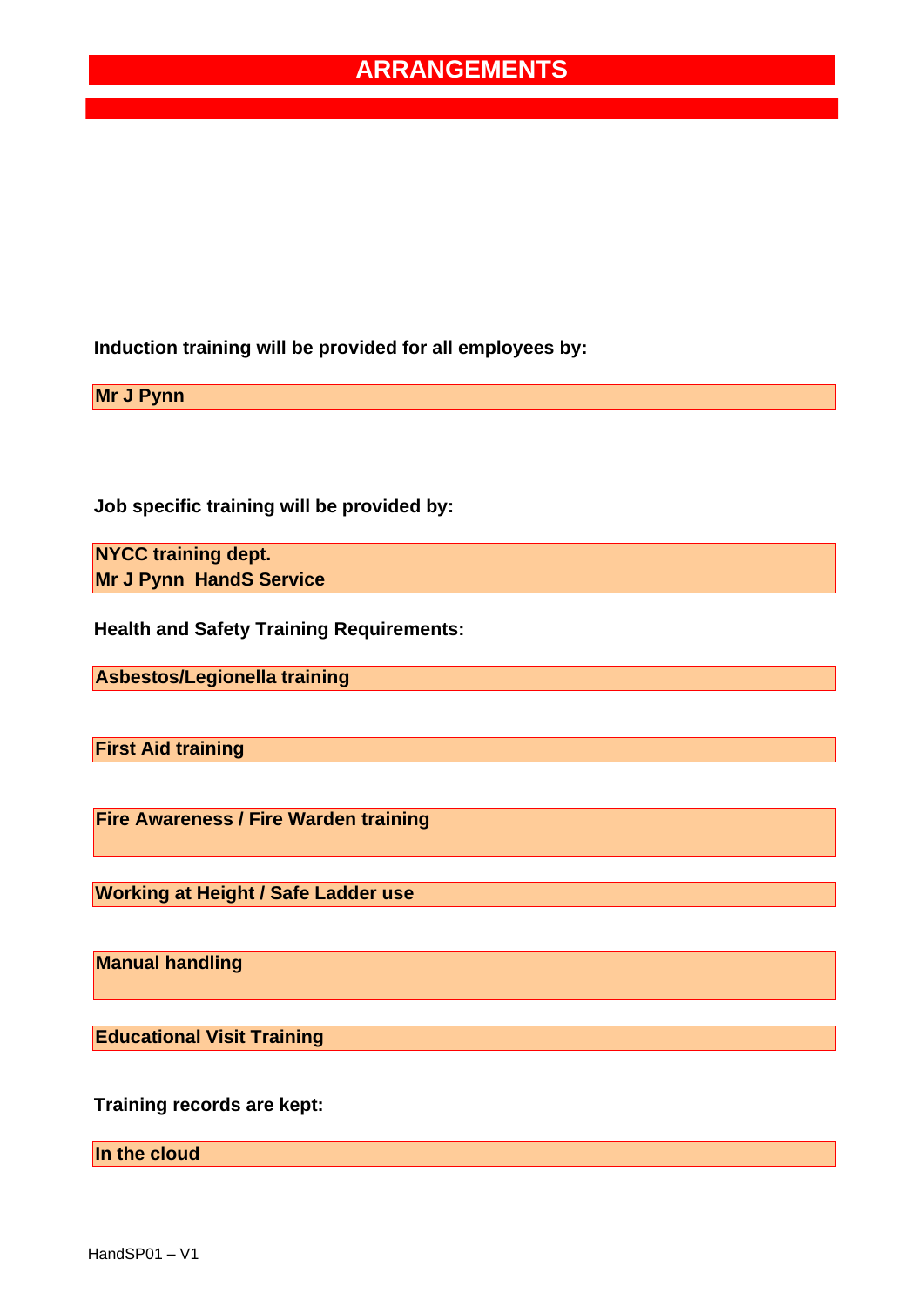**Induction training will be provided for all employees by:** 

**Mr J Pynn** 

**Job specific training will be provided by:** 

**NYCC training dept. Mr J Pynn HandS Service** 

**Health and Safety Training Requirements:** 

**Asbestos/Legionella training** 

**First Aid training** 

**Fire Awareness / Fire Warden training** 

**Working at Height / Safe Ladder use** 

**Manual handling** 

**Educational Visit Training** 

**Training records are kept:** 

**In the cloud**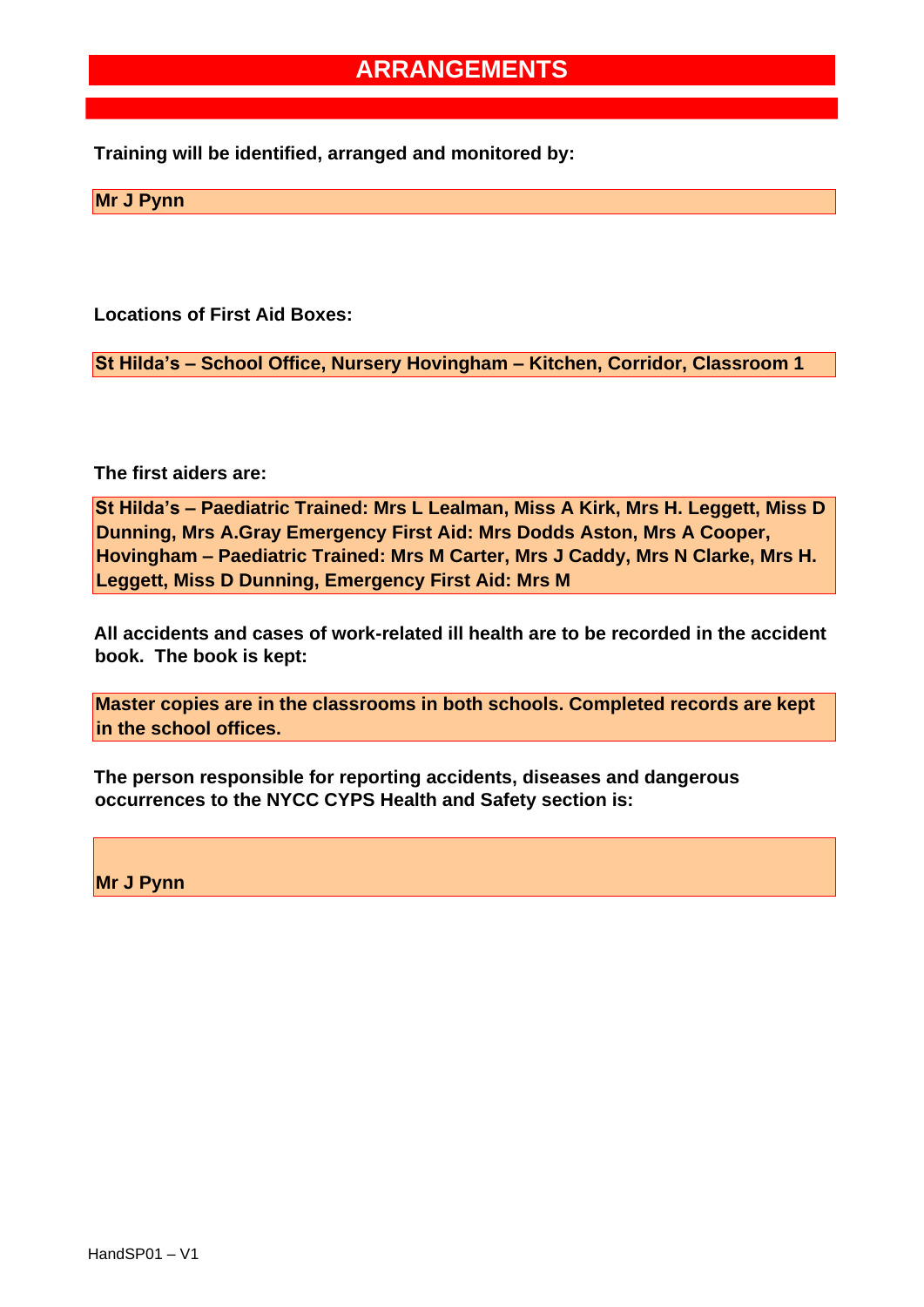**Training will be identified, arranged and monitored by:** 

**Mr J Pynn** 

**Locations of First Aid Boxes:** 

**St Hilda's – School Office, Nursery Hovingham – Kitchen, Corridor, Classroom 1** 

**The first aiders are:** 

**St Hilda's – Paediatric Trained: Mrs L Lealman, Miss A Kirk, Mrs H. Leggett, Miss D Dunning, Mrs A.Gray Emergency First Aid: Mrs Dodds Aston, Mrs A Cooper, Hovingham – Paediatric Trained: Mrs M Carter, Mrs J Caddy, Mrs N Clarke, Mrs H. Leggett, Miss D Dunning, Emergency First Aid: Mrs M** 

**All accidents and cases of work-related ill health are to be recorded in the accident book. The book is kept:** 

**Master copies are in the classrooms in both schools. Completed records are kept in the school offices.** 

**The person responsible for reporting accidents, diseases and dangerous occurrences to the NYCC CYPS Health and Safety section is:** 

**Mr J Pynn**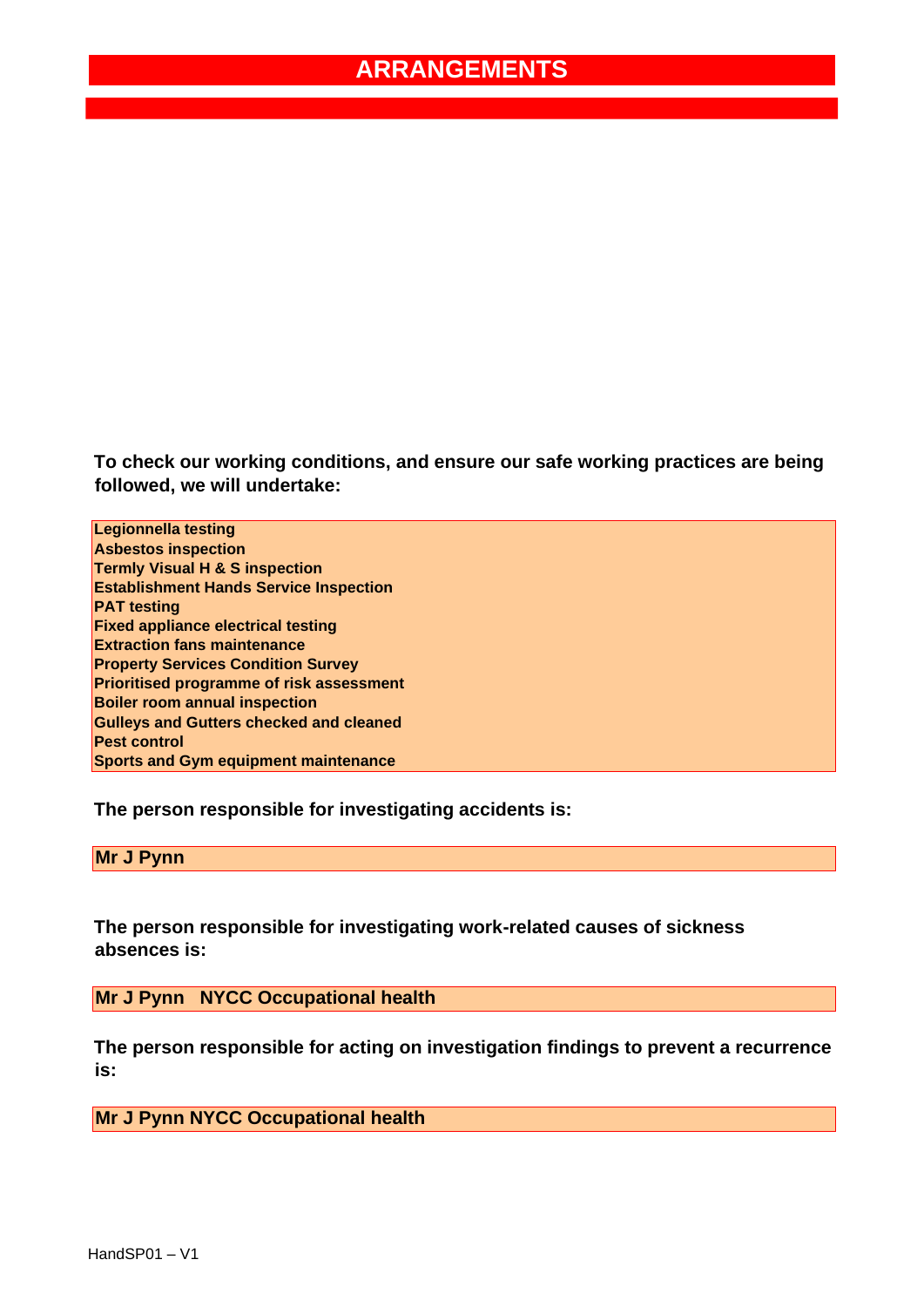**To check our working conditions, and ensure our safe working practices are being followed, we will undertake:** 

**Legionnella testing Asbestos inspection Termly Visual H & S inspection Establishment Hands Service Inspection PAT testing Fixed appliance electrical testing Extraction fans maintenance Property Services Condition Survey Prioritised programme of risk assessment Boiler room annual inspection Gulleys and Gutters checked and cleaned Pest control Sports and Gym equipment maintenance** 

**The person responsible for investigating accidents is:** 

**Mr J Pynn** 

**The person responsible for investigating work-related causes of sickness absences is:** 

**Mr J Pynn NYCC Occupational health** 

**The person responsible for acting on investigation findings to prevent a recurrence is:** 

**Mr J Pynn NYCC Occupational health**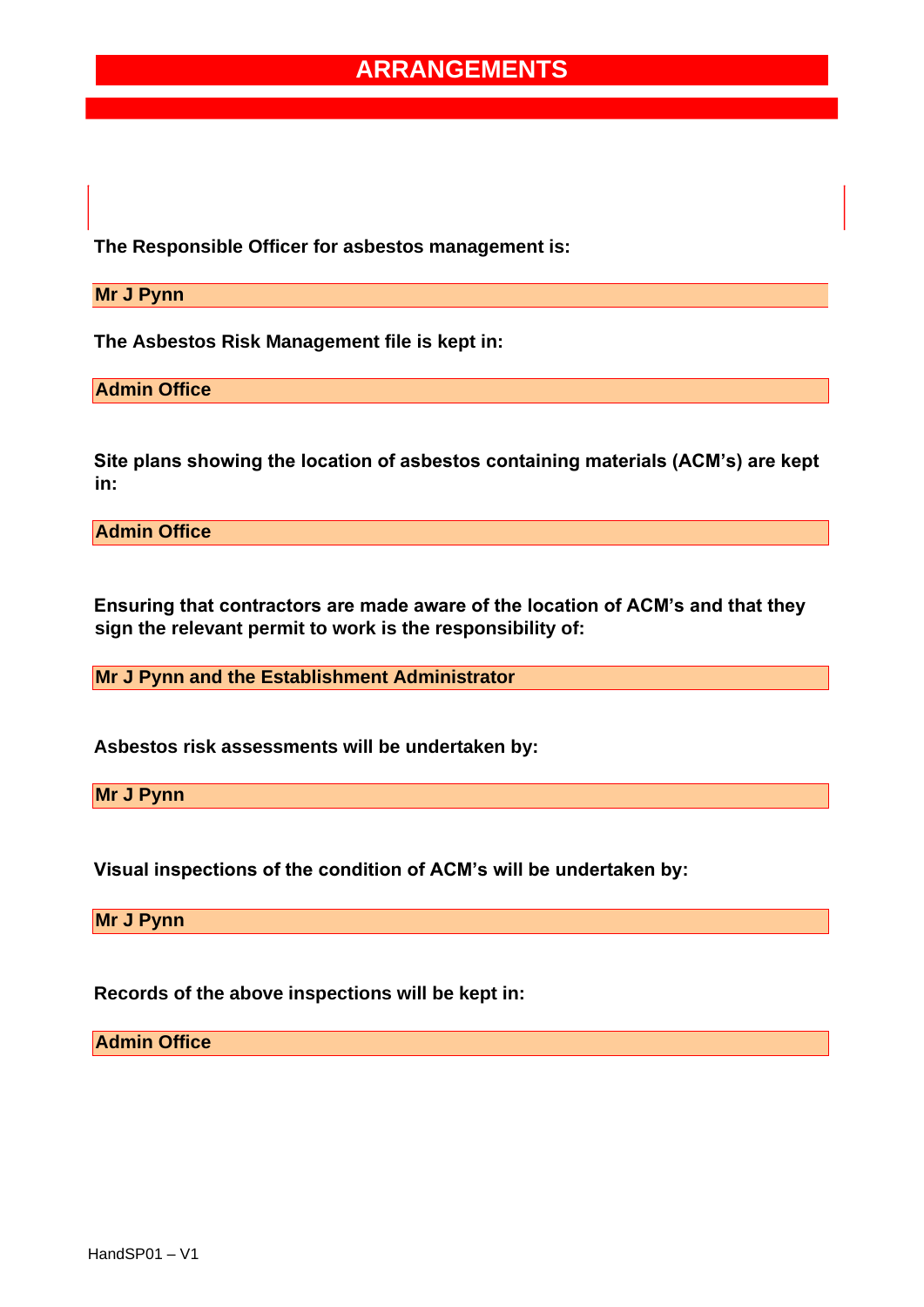**The Responsible Officer for asbestos management is:** 

**Mr J Pynn** 

**The Asbestos Risk Management file is kept in:** 

**Admin Office** 

**Site plans showing the location of asbestos containing materials (ACM's) are kept in:** 

**Admin Office** 

**Ensuring that contractors are made aware of the location of ACM's and that they sign the relevant permit to work is the responsibility of:** 

**Mr J Pynn and the Establishment Administrator** 

**Asbestos risk assessments will be undertaken by:** 

**Mr J Pynn** 

**Visual inspections of the condition of ACM's will be undertaken by:** 

**Mr J Pynn** 

**Records of the above inspections will be kept in:** 

**Admin Office**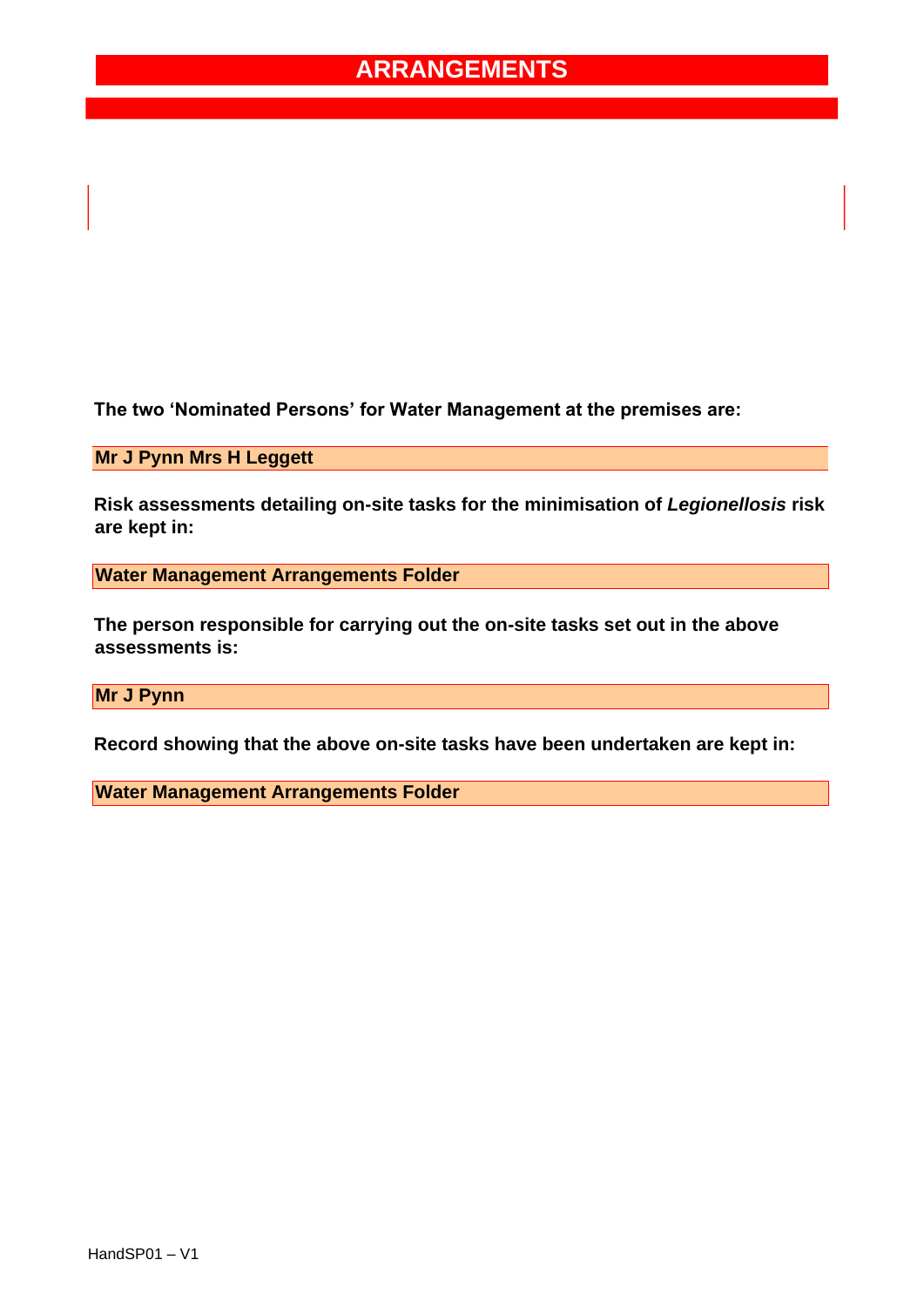**The two 'Nominated Persons' for Water Management at the premises are:** 

**Mr J Pynn Mrs H Leggett** 

**Risk assessments detailing on-site tasks for the minimisation of** *Legionellosis* **risk are kept in:** 

**Water Management Arrangements Folder** 

**The person responsible for carrying out the on-site tasks set out in the above assessments is:** 

**Mr J Pynn** 

**Record showing that the above on-site tasks have been undertaken are kept in:** 

**Water Management Arrangements Folder**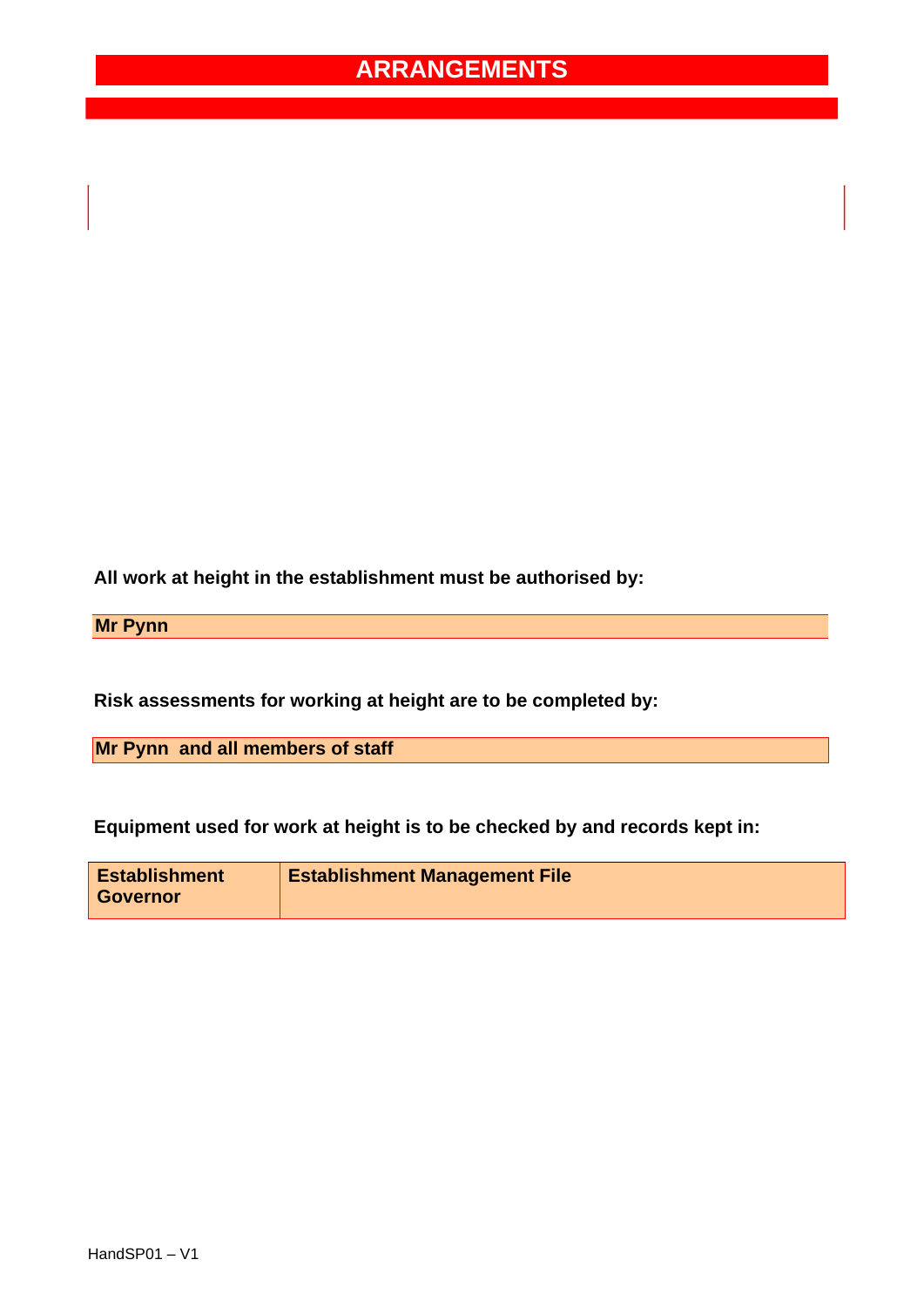**All work at height in the establishment must be authorised by:** 

**Mr Pynn** 

**Risk assessments for working at height are to be completed by:** 

**Mr Pynn and all members of staff** 

**Equipment used for work at height is to be checked by and records kept in:** 

| <b>Establishment</b> | <b>Establishment Management File</b> |
|----------------------|--------------------------------------|
| <b>Governor</b>      |                                      |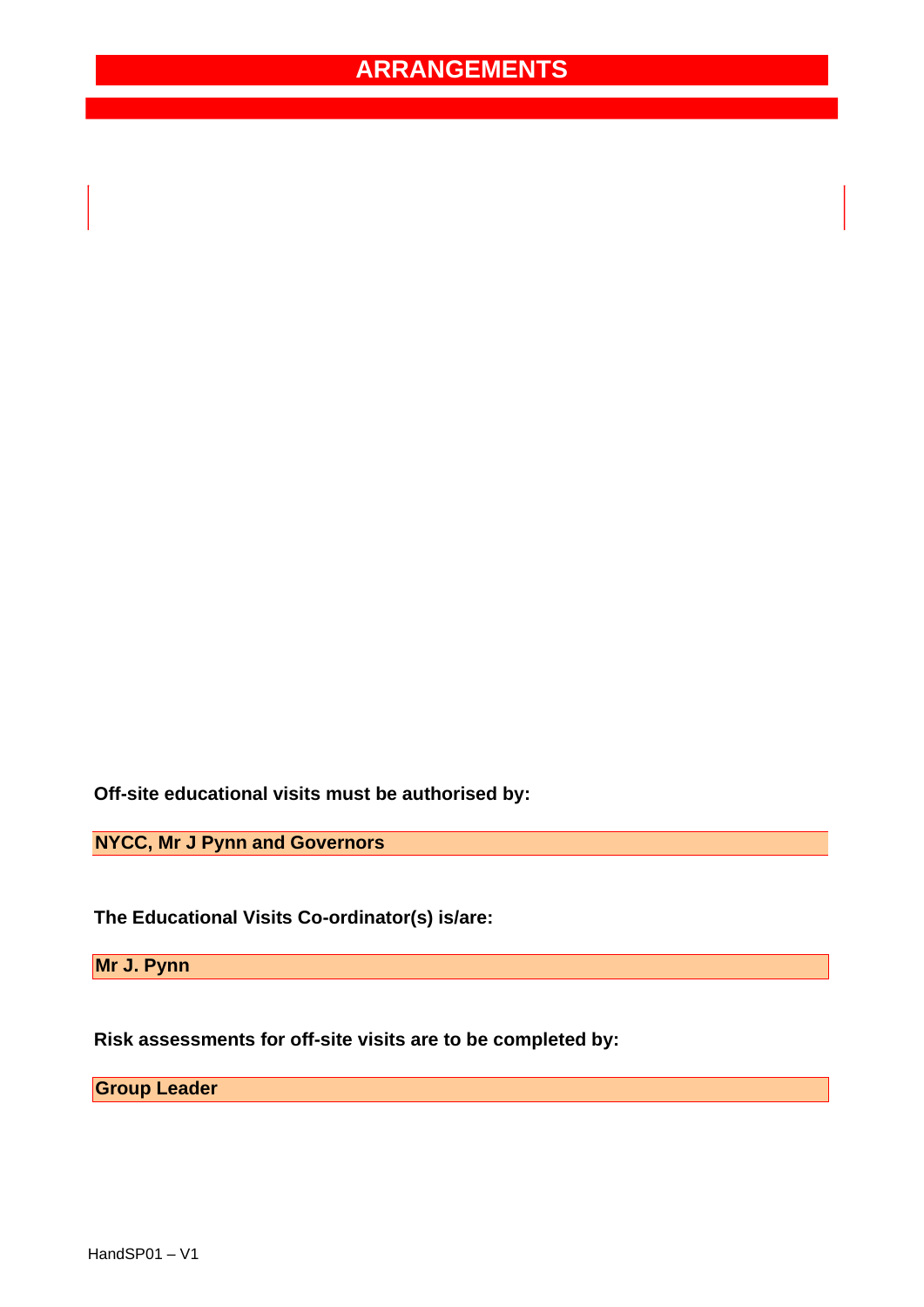**Off-site educational visits must be authorised by:** 

**NYCC, Mr J Pynn and Governors** 

**The Educational Visits Co-ordinator(s) is/are:** 

**Mr J. Pynn** 

**Risk assessments for off-site visits are to be completed by:** 

**Group Leader**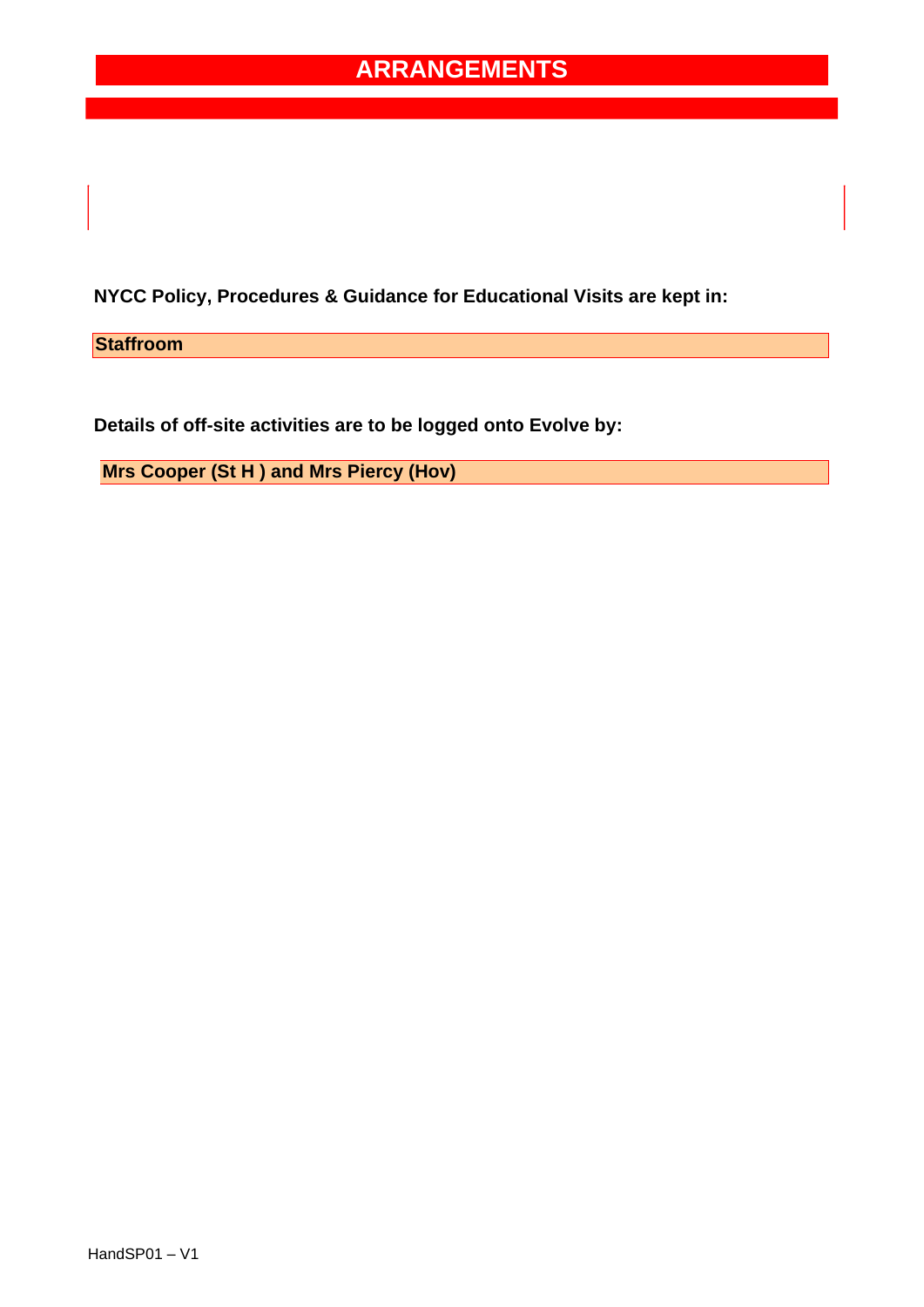**NYCC Policy, Procedures & Guidance for Educational Visits are kept in:** 

**Staffroom** 

**Details of off-site activities are to be logged onto Evolve by:** 

**Mrs Cooper (St H ) and Mrs Piercy (Hov)**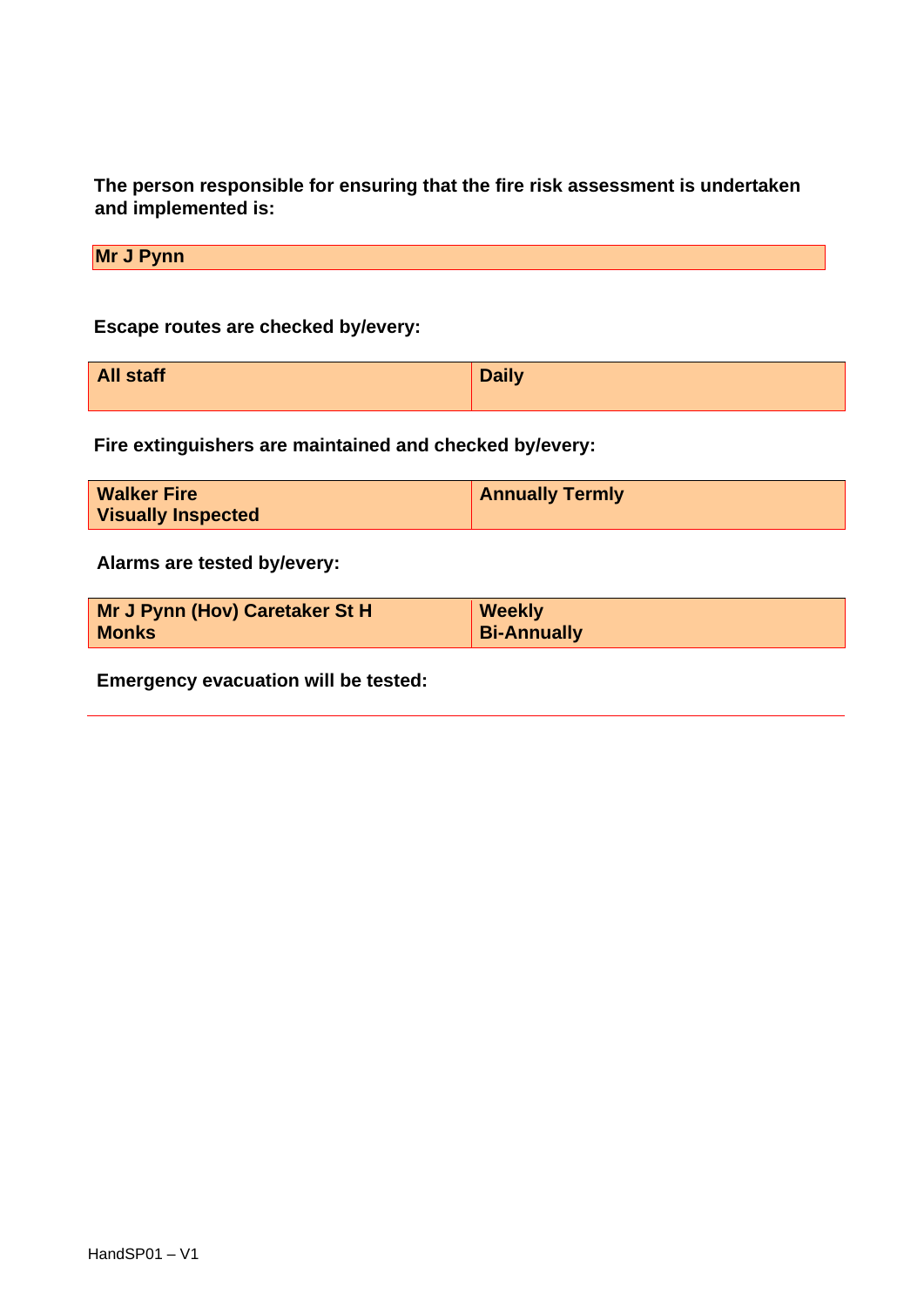**The person responsible for ensuring that the fire risk assessment is undertaken and implemented is:** 

**Mr J Pynn** 

**Escape routes are checked by/every:** 

| <b>All staff</b> | <b>Daily</b> |
|------------------|--------------|
|                  |              |

**Fire extinguishers are maintained and checked by/every:** 

| <b>Walker Fire</b>        | <b>Annually Termly</b> |
|---------------------------|------------------------|
| <b>Visually Inspected</b> |                        |

**Alarms are tested by/every:** 

| Mr J Pynn (Hov) Caretaker St H | Weekly             |
|--------------------------------|--------------------|
| <b>Monks</b>                   | <b>Bi-Annually</b> |

**Emergency evacuation will be tested:**